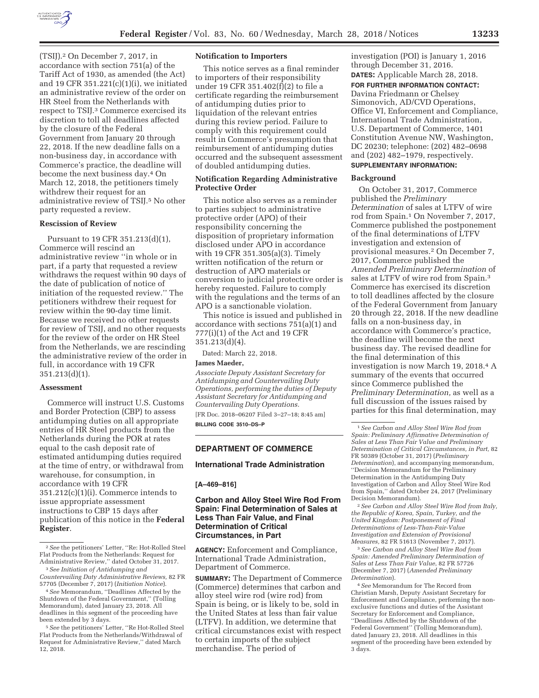

(TSIJ).2 On December 7, 2017, in accordance with section 751(a) of the Tariff Act of 1930, as amended (the Act) and 19 CFR 351.221(c)(1)(i), we initiated an administrative review of the order on HR Steel from the Netherlands with respect to TSIJ.3 Commerce exercised its discretion to toll all deadlines affected by the closure of the Federal Government from January 20 through 22, 2018. If the new deadline falls on a non-business day, in accordance with Commerce's practice, the deadline will become the next business day.4 On March 12, 2018, the petitioners timely withdrew their request for an administrative review of TSIJ.5 No other party requested a review.

### **Rescission of Review**

Pursuant to 19 CFR 351.213(d)(1), Commerce will rescind an administrative review ''in whole or in part, if a party that requested a review withdraws the request within 90 days of the date of publication of notice of initiation of the requested review.'' The petitioners withdrew their request for review within the 90-day time limit. Because we received no other requests for review of TSIJ, and no other requests for the review of the order on HR Steel from the Netherlands, we are rescinding the administrative review of the order in full, in accordance with 19 CFR 351.213(d)(1).

#### **Assessment**

Commerce will instruct U.S. Customs and Border Protection (CBP) to assess antidumping duties on all appropriate entries of HR Steel products from the Netherlands during the POR at rates equal to the cash deposit rate of estimated antidumping duties required at the time of entry, or withdrawal from warehouse, for consumption, in accordance with 19 CFR  $351.212(c)(1)(i)$ . Commerce intends to issue appropriate assessment instructions to CBP 15 days after publication of this notice in the **Federal Register**.

#### **Notification to Importers**

This notice serves as a final reminder to importers of their responsibility under 19 CFR 351.402(f)(2) to file a certificate regarding the reimbursement of antidumping duties prior to liquidation of the relevant entries during this review period. Failure to comply with this requirement could result in Commerce's presumption that reimbursement of antidumping duties occurred and the subsequent assessment of doubled antidumping duties.

### **Notification Regarding Administrative Protective Order**

This notice also serves as a reminder to parties subject to administrative protective order (APO) of their responsibility concerning the disposition of proprietary information disclosed under APO in accordance with 19 CFR 351.305(a)(3). Timely written notification of the return or destruction of APO materials or conversion to judicial protective order is hereby requested. Failure to comply with the regulations and the terms of an APO is a sanctionable violation.

This notice is issued and published in accordance with sections 751(a)(1) and 777(i)(1) of the Act and 19 CFR 351.213(d)(4).

Dated: March 22, 2018.

## **James Maeder,**

*Associate Deputy Assistant Secretary for Antidumping and Countervailing Duty Operations, performing the duties of Deputy Assistant Secretary for Antidumping and Countervailing Duty Operations.*  [FR Doc. 2018–06207 Filed 3–27–18; 8:45 am]

**BILLING CODE 3510–DS–P** 

## **DEPARTMENT OF COMMERCE**

### **International Trade Administration**

### **[A–469–816]**

# **Carbon and Alloy Steel Wire Rod From Spain: Final Determination of Sales at Less Than Fair Value, and Final Determination of Critical Circumstances, in Part**

**AGENCY:** Enforcement and Compliance, International Trade Administration, Department of Commerce.

**SUMMARY:** The Department of Commerce (Commerce) determines that carbon and alloy steel wire rod (wire rod) from Spain is being, or is likely to be, sold in the United States at less than fair value (LTFV). In addition, we determine that critical circumstances exist with respect to certain imports of the subject merchandise. The period of

investigation (POI) is January 1, 2016 through December 31, 2016. **DATES:** Applicable March 28, 2018.

**FOR FURTHER INFORMATION CONTACT:** 

Davina Friedmann or Chelsey Simonovich, AD/CVD Operations, Office VI, Enforcement and Compliance, International Trade Administration, U.S. Department of Commerce, 1401 Constitution Avenue NW, Washington, DC 20230; telephone: (202) 482–0698 and (202) 482–1979, respectively. **SUPPLEMENTARY INFORMATION:** 

## **Background**

On October 31, 2017, Commerce published the *Preliminary Determination* of sales at LTFV of wire rod from Spain.1 On November 7, 2017, Commerce published the postponement of the final determinations of LTFV investigation and extension of provisional measures.2 On December 7, 2017, Commerce published the *Amended Preliminary Determination* of sales at LTFV of wire rod from Spain.3 Commerce has exercised its discretion to toll deadlines affected by the closure of the Federal Government from January 20 through 22, 2018. If the new deadline falls on a non-business day, in accordance with Commerce's practice, the deadline will become the next business day. The revised deadline for the final determination of this investigation is now March 19, 2018.4 A summary of the events that occurred since Commerce published the *Preliminary Determination,* as well as a full discussion of the issues raised by parties for this final determination, may

2*See Carbon and Alloy Steel Wire Rod from Italy, the Republic of Korea, Spain, Turkey, and the United Kingdom: Postponement of Final Determinations of Less-Than-Fair-Value Investigation and Extension of Provisional Measures,* 82 FR 51613 (November 7, 2017).

3*See Carbon and Alloy Steel Wire Rod from Spain: Amended Preliminary Determination of Sales at Less Than Fair Value*, 82 FR 57726 (December 7, 2017) (*Amended Preliminary Determination*).

4*See* Memorandum for The Record from Christian Marsh, Deputy Assistant Secretary for Enforcement and Compliance, performing the nonexclusive functions and duties of the Assistant Secretary for Enforcement and Compliance, ''Deadlines Affected by the Shutdown of the Federal Government'' (Tolling Memorandum), dated January 23, 2018. All deadlines in this segment of the proceeding have been extended by 3 days.

<sup>2</sup>*See* the petitioners' Letter, ''Re: Hot-Rolled Steel Flat Products from the Netherlands: Request for Administrative Review,'' dated October 31, 2017.

<sup>3</sup>*See Initiation of Antidumping and Countervailing Duty Administrative Reviews,* 82 FR 57705 (December 7, 2017) (*Initiation Notice*).

<sup>4</sup>*See* Memorandum, ''Deadlines Affected by the Shutdown of the Federal Government,'' (Tolling Memorandum), dated January 23, 2018. All deadlines in this segment of the proceeding have been extended by 3 days.

<sup>5</sup>*See* the petitioners' Letter, ''Re Hot-Rolled Steel Flat Products from the Netherlands/Withdrawal of Request for Administrative Review,'' dated March 12, 2018.

<sup>1</sup>*See Carbon and Alloy Steel Wire Rod from Spain: Preliminary Affirmative Determination of Sales at Less Than Fair Value and Preliminary Determination of Critical Circumstances, in Part,* 82 FR 50389 (October 31, 2017) (*Preliminary Determination*), and accompanying memorandum, ''Decision Memorandum for the Preliminary Determination in the Antidumping Duty Investigation of Carbon and Alloy Steel Wire Rod from Spain,'' dated October 24, 2017 (Preliminary Decision Memorandum).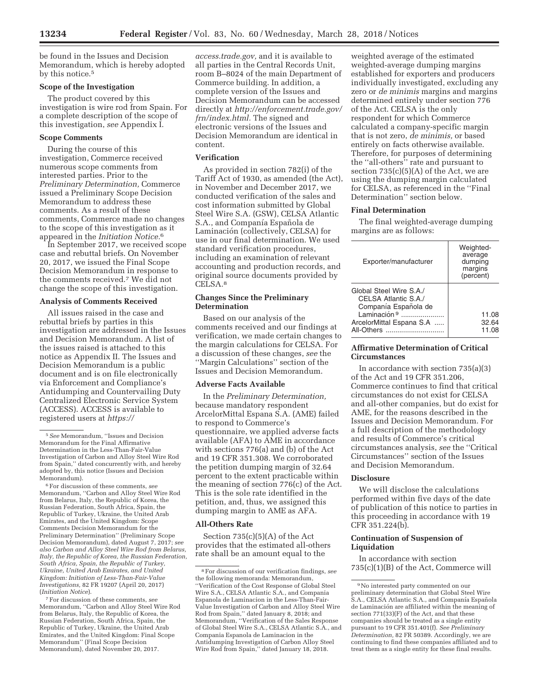be found in the Issues and Decision Memorandum, which is hereby adopted by this notice.5

# **Scope of the Investigation**

The product covered by this investigation is wire rod from Spain. For a complete description of the scope of this investigation, *see* Appendix I.

# **Scope Comments**

During the course of this investigation, Commerce received numerous scope comments from interested parties. Prior to the *Preliminary Determination,* Commerce issued a Preliminary Scope Decision Memorandum to address these comments. As a result of these comments, Commerce made no changes to the scope of this investigation as it appeared in the *Initiation Notice.*6

In September 2017, we received scope case and rebuttal briefs. On November 20, 2017, we issued the Final Scope Decision Memorandum in response to the comments received.7 We did not change the scope of this investigation.

#### **Analysis of Comments Received**

All issues raised in the case and rebuttal briefs by parties in this investigation are addressed in the Issues and Decision Memorandum. A list of the issues raised is attached to this notice as Appendix II. The Issues and Decision Memorandum is a public document and is on file electronically via Enforcement and Compliance's Antidumping and Countervailing Duty Centralized Electronic Service System (ACCESS). ACCESS is available to registered users at *https://*

6For discussion of these comments, *see*  Memorandum, ''Carbon and Alloy Steel Wire Rod from Belarus, Italy, the Republic of Korea, the Russian Federation, South Africa, Spain, the Republic of Turkey, Ukraine, the United Arab Emirates, and the United Kingdom: Scope Comments Decision Memorandum for the Preliminary Determination'' (Preliminary Scope Decision Memorandum), dated August 7, 2017; *see also Carbon and Alloy Steel Wire Rod from Belarus, Italy, the Republic of Korea, the Russian Federation, South Africa, Spain, the Republic of Turkey, Ukraine, United Arab Emirates, and United Kingdom: Initiation of Less-Than-Fair-Value Investigations,* 82 FR 19207 (April 20, 2017) (*Initiation Notice*).

7For discussion of these comments, *see*  Memorandum, ''Carbon and Alloy Steel Wire Rod from Belarus, Italy, the Republic of Korea, the Russian Federation, South Africa, Spain, the Republic of Turkey, Ukraine, the United Arab Emirates, and the United Kingdom: Final Scope Memorandum'' (Final Scope Decision Memorandum), dated November 20, 2017.

*access.trade.gov,* and it is available to all parties in the Central Records Unit, room B–8024 of the main Department of Commerce building. In addition, a complete version of the Issues and Decision Memorandum can be accessed directly at *http://enforcement.trade.gov/ frn/index.html.* The signed and electronic versions of the Issues and Decision Memorandum are identical in content.

## **Verification**

As provided in section 782(i) of the Tariff Act of 1930, as amended (the Act), in November and December 2017, we conducted verification of the sales and cost information submitted by Global Steel Wire S.A. (GSW), CELSA Atlantic S.A., and Companía Española de Laminación (collectively, CELSA) for use in our final determination. We used standard verification procedures, including an examination of relevant accounting and production records, and original source documents provided by CELSA.8

## **Changes Since the Preliminary Determination**

Based on our analysis of the comments received and our findings at verification, we made certain changes to the margin calculations for CELSA. For a discussion of these changes, *see* the ''Margin Calculations'' section of the Issues and Decision Memorandum.

#### **Adverse Facts Available**

In the *Preliminary Determination,*  because mandatory respondent ArcelorMittal Espana S.A. (AME) failed to respond to Commerce's questionnaire, we applied adverse facts available (AFA) to AME in accordance with sections 776(a) and (b) of the Act and 19 CFR 351.308. We corroborated the petition dumping margin of 32.64 percent to the extent practicable within the meaning of section 776(c) of the Act. This is the sole rate identified in the petition, and, thus, we assigned this dumping margin to AME as AFA.

## **All-Others Rate**

Section  $735(c)(5)(A)$  of the Act provides that the estimated all-others rate shall be an amount equal to the

weighted average of the estimated weighted-average dumping margins established for exporters and producers individually investigated, excluding any zero or *de minimis* margins and margins determined entirely under section 776 of the Act. CELSA is the only respondent for which Commerce calculated a company-specific margin that is not zero, *de minimis,* or based entirely on facts otherwise available. Therefore, for purposes of determining the ''all-others'' rate and pursuant to section  $735(c)(5)(A)$  of the Act, we are using the dumping margin calculated for CELSA, as referenced in the ''Final Determination'' section below.

#### **Final Determination**

The final weighted-average dumping margins are as follows:

| Exporter/manufacturer                                                                                                             | Weighted-<br>average<br>dumping<br>margins<br>(percent) |
|-----------------------------------------------------------------------------------------------------------------------------------|---------------------------------------------------------|
| Global Steel Wire S.A.<br>CELSA Atlantic S.A./<br>Companía Española de<br>I aminación 9<br>ArcelorMittal Espana S.A<br>All-Others | 11.08<br>32.64<br>11.08                                 |

# **Affirmative Determination of Critical Circumstances**

In accordance with section 735(a)(3) of the Act and 19 CFR 351.206, Commerce continues to find that critical circumstances do not exist for CELSA and all-other companies, but do exist for AME, for the reasons described in the Issues and Decision Memorandum. For a full description of the methodology and results of Commerce's critical circumstances analysis, *see* the ''Critical Circumstances'' section of the Issues and Decision Memorandum.

# **Disclosure**

We will disclose the calculations performed within five days of the date of publication of this notice to parties in this proceeding in accordance with 19 CFR 351.224(b).

### **Continuation of Suspension of Liquidation**

In accordance with section 735(c)(1)(B) of the Act, Commerce will

<sup>5</sup>*See* Memorandum, ''Issues and Decision Memorandum for the Final Affirmative Determination in the Less-Than-Fair-Value Investigation of Carbon and Alloy Steel Wire Rod from Spain,'' dated concurrently with, and hereby adopted by, this notice (Issues and Decision Memorandum).

<sup>8</sup>For discussion of our verification findings, *see*  the following memoranda: Memorandum, ''Verification of the Cost Response of Global Steel Wire S.A., CELSA Atlantic S.A., and Compania Espanola de Laminacion in the Less-Than-Fair-Value Investigation of Carbon and Alloy Steel Wire Rod from Spain,'' dated January 8, 2018; and Memorandum, ''Verification of the Sales Response of Global Steel Wire S.A., CELSA Atlantic S.A., and Compania Espanola de Laminacion in the Antidumping Investigation of Carbon Alloy Steel Wire Rod from Spain,'' dated January 18, 2018.

<sup>9</sup>No interested party commented on our preliminary determination that Global Steel Wire S.A., CELSA Atlantic S.A., and Companía Española de Laminación are affiliated within the meaning of section 771(33)(F) of the Act, and that these companies should be treated as a single entity pursuant to 19 CFR 351.401(f). *See Preliminary Determination,* 82 FR 50389. Accordingly, we are continuing to find these companies affiliated and to treat them as a single entity for these final results.